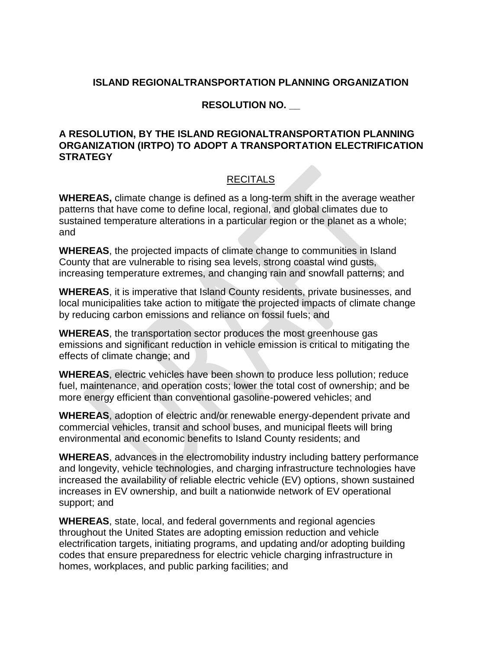## **ISLAND REGIONALTRANSPORTATION PLANNING ORGANIZATION**

## **RESOLUTION NO. \_\_**

## **A RESOLUTION, BY THE ISLAND REGIONALTRANSPORTATION PLANNING ORGANIZATION (IRTPO) TO ADOPT A TRANSPORTATION ELECTRIFICATION STRATEGY**

## RECITALS

**WHEREAS,** climate change is defined as a long-term shift in the average weather patterns that have come to define local, regional, and global climates due to sustained temperature alterations in a particular region or the planet as a whole; and

**WHEREAS**, the projected impacts of climate change to communities in Island County that are vulnerable to rising sea levels, strong coastal wind gusts, increasing temperature extremes, and changing rain and snowfall patterns; and

**WHEREAS**, it is imperative that Island County residents, private businesses, and local municipalities take action to mitigate the projected impacts of climate change by reducing carbon emissions and reliance on fossil fuels; and

**WHEREAS**, the transportation sector produces the most greenhouse gas emissions and significant reduction in vehicle emission is critical to mitigating the effects of climate change; and

**WHEREAS**, electric vehicles have been shown to produce less pollution; reduce fuel, maintenance, and operation costs; lower the total cost of ownership; and be more energy efficient than conventional gasoline-powered vehicles; and

**WHEREAS**, adoption of electric and/or renewable energy-dependent private and commercial vehicles, transit and school buses, and municipal fleets will bring environmental and economic benefits to Island County residents; and

**WHEREAS**, advances in the electromobility industry including battery performance and longevity, vehicle technologies, and charging infrastructure technologies have increased the availability of reliable electric vehicle (EV) options, shown sustained increases in EV ownership, and built a nationwide network of EV operational support; and

**WHEREAS**, state, local, and federal governments and regional agencies throughout the United States are adopting emission reduction and vehicle electrification targets, initiating programs, and updating and/or adopting building codes that ensure preparedness for electric vehicle charging infrastructure in homes, workplaces, and public parking facilities; and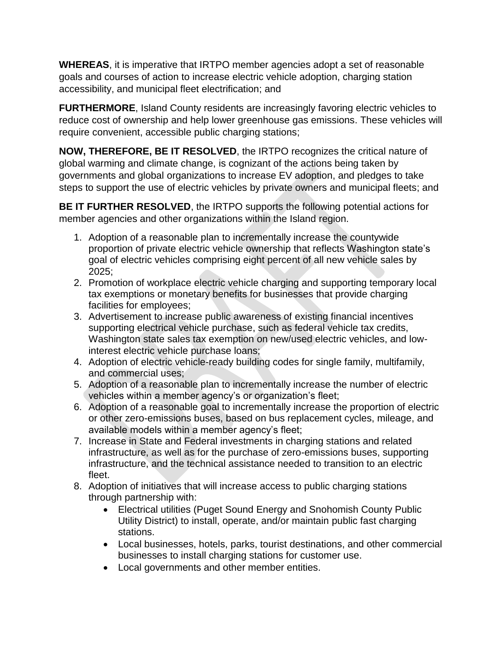**WHEREAS**, it is imperative that IRTPO member agencies adopt a set of reasonable goals and courses of action to increase electric vehicle adoption, charging station accessibility, and municipal fleet electrification; and

**FURTHERMORE**, Island County residents are increasingly favoring electric vehicles to reduce cost of ownership and help lower greenhouse gas emissions. These vehicles will require convenient, accessible public charging stations;

**NOW, THEREFORE, BE IT RESOLVED**, the IRTPO recognizes the critical nature of global warming and climate change, is cognizant of the actions being taken by governments and global organizations to increase EV adoption, and pledges to take steps to support the use of electric vehicles by private owners and municipal fleets; and

**BE IT FURTHER RESOLVED**, the IRTPO supports the following potential actions for member agencies and other organizations within the Island region.

- 1. Adoption of a reasonable plan to incrementally increase the countywide proportion of private electric vehicle ownership that reflects Washington state's goal of electric vehicles comprising eight percent of all new vehicle sales by 2025;
- 2. Promotion of workplace electric vehicle charging and supporting temporary local tax exemptions or monetary benefits for businesses that provide charging facilities for employees;
- 3. Advertisement to increase public awareness of existing financial incentives supporting electrical vehicle purchase, such as federal vehicle tax credits, Washington state sales tax exemption on new/used electric vehicles, and lowinterest electric vehicle purchase loans;
- 4. Adoption of electric vehicle-ready building codes for single family, multifamily, and commercial uses;
- 5. Adoption of a reasonable plan to incrementally increase the number of electric vehicles within a member agency's or organization's fleet;
- 6. Adoption of a reasonable goal to incrementally increase the proportion of electric or other zero-emissions buses, based on bus replacement cycles, mileage, and available models within a member agency's fleet;
- 7. Increase in State and Federal investments in charging stations and related infrastructure, as well as for the purchase of zero-emissions buses, supporting infrastructure, and the technical assistance needed to transition to an electric fleet.
- 8. Adoption of initiatives that will increase access to public charging stations through partnership with:
	- Electrical utilities (Puget Sound Energy and Snohomish County Public Utility District) to install, operate, and/or maintain public fast charging stations.
	- Local businesses, hotels, parks, tourist destinations, and other commercial businesses to install charging stations for customer use.
	- Local governments and other member entities.